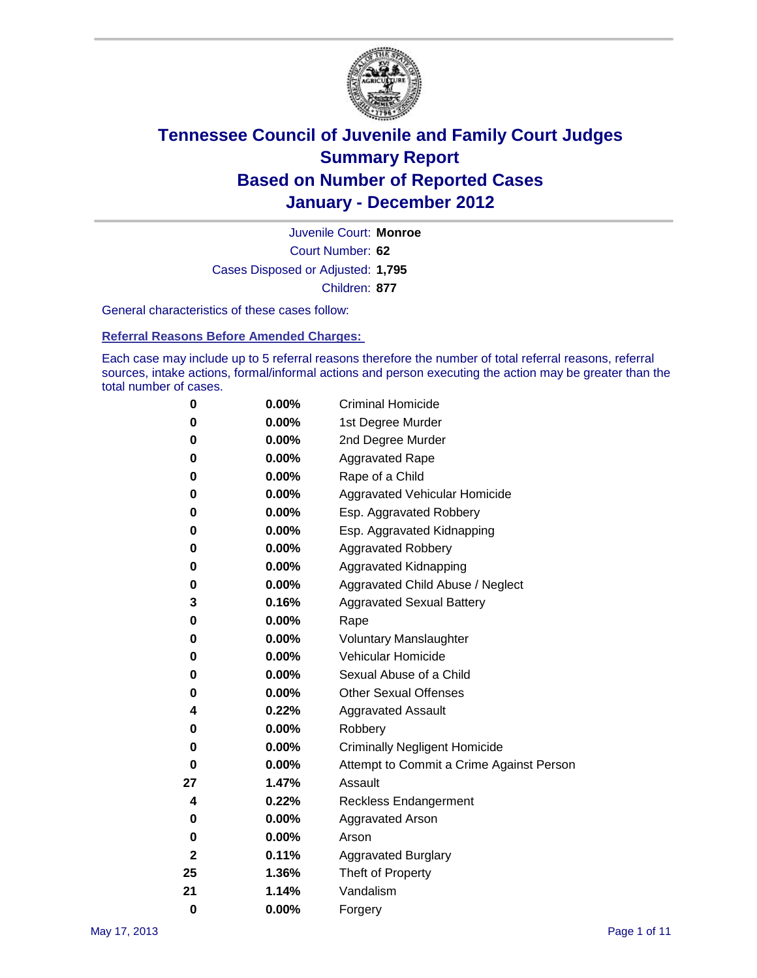

Court Number: **62** Juvenile Court: **Monroe** Cases Disposed or Adjusted: **1,795** Children: **877**

General characteristics of these cases follow:

**Referral Reasons Before Amended Charges:** 

Each case may include up to 5 referral reasons therefore the number of total referral reasons, referral sources, intake actions, formal/informal actions and person executing the action may be greater than the total number of cases.

| 0  | 0.00% | <b>Criminal Homicide</b>                 |  |  |
|----|-------|------------------------------------------|--|--|
| 0  | 0.00% | 1st Degree Murder                        |  |  |
| 0  | 0.00% | 2nd Degree Murder                        |  |  |
| 0  | 0.00% | <b>Aggravated Rape</b>                   |  |  |
| 0  | 0.00% | Rape of a Child                          |  |  |
| 0  | 0.00% | Aggravated Vehicular Homicide            |  |  |
| 0  | 0.00% | Esp. Aggravated Robbery                  |  |  |
| 0  | 0.00% | Esp. Aggravated Kidnapping               |  |  |
| 0  | 0.00% | <b>Aggravated Robbery</b>                |  |  |
| 0  | 0.00% | Aggravated Kidnapping                    |  |  |
| 0  | 0.00% | Aggravated Child Abuse / Neglect         |  |  |
| 3  | 0.16% | <b>Aggravated Sexual Battery</b>         |  |  |
| 0  | 0.00% | Rape                                     |  |  |
| 0  | 0.00% | <b>Voluntary Manslaughter</b>            |  |  |
| 0  | 0.00% | Vehicular Homicide                       |  |  |
| 0  | 0.00% | Sexual Abuse of a Child                  |  |  |
| 0  | 0.00% | <b>Other Sexual Offenses</b>             |  |  |
| 4  | 0.22% | <b>Aggravated Assault</b>                |  |  |
| 0  | 0.00% | Robbery                                  |  |  |
| 0  | 0.00% | <b>Criminally Negligent Homicide</b>     |  |  |
| 0  | 0.00% | Attempt to Commit a Crime Against Person |  |  |
| 27 | 1.47% | Assault                                  |  |  |
| 4  | 0.22% | <b>Reckless Endangerment</b>             |  |  |
| 0  | 0.00% | <b>Aggravated Arson</b>                  |  |  |
| 0  | 0.00% | Arson                                    |  |  |
| 2  | 0.11% | <b>Aggravated Burglary</b>               |  |  |
| 25 | 1.36% | Theft of Property                        |  |  |
| 21 | 1.14% | Vandalism                                |  |  |
| 0  | 0.00% | Forgery                                  |  |  |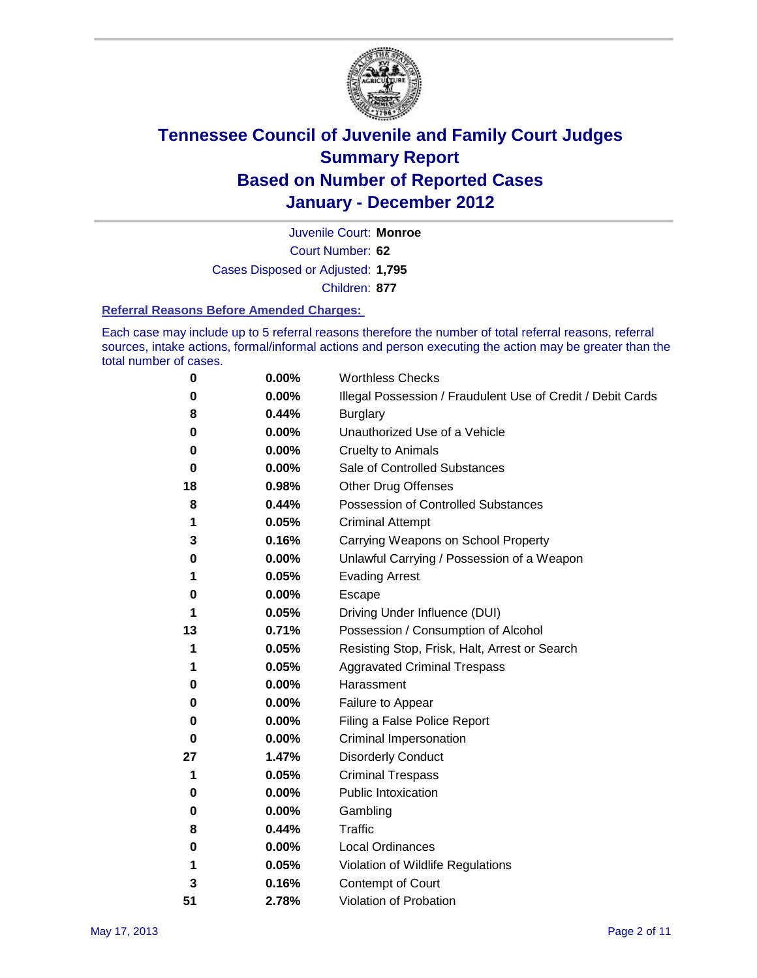

Court Number: **62** Juvenile Court: **Monroe** Cases Disposed or Adjusted: **1,795** Children: **877**

#### **Referral Reasons Before Amended Charges:**

Each case may include up to 5 referral reasons therefore the number of total referral reasons, referral sources, intake actions, formal/informal actions and person executing the action may be greater than the total number of cases.

| 0  | 0.00% | <b>Worthless Checks</b>                                     |
|----|-------|-------------------------------------------------------------|
| 0  | 0.00% | Illegal Possession / Fraudulent Use of Credit / Debit Cards |
| 8  | 0.44% | <b>Burglary</b>                                             |
| 0  | 0.00% | Unauthorized Use of a Vehicle                               |
| 0  | 0.00% | <b>Cruelty to Animals</b>                                   |
| 0  | 0.00% | Sale of Controlled Substances                               |
| 18 | 0.98% | <b>Other Drug Offenses</b>                                  |
| 8  | 0.44% | Possession of Controlled Substances                         |
| 1  | 0.05% | <b>Criminal Attempt</b>                                     |
| 3  | 0.16% | Carrying Weapons on School Property                         |
| 0  | 0.00% | Unlawful Carrying / Possession of a Weapon                  |
| 1  | 0.05% | <b>Evading Arrest</b>                                       |
| 0  | 0.00% | Escape                                                      |
| 1  | 0.05% | Driving Under Influence (DUI)                               |
| 13 | 0.71% | Possession / Consumption of Alcohol                         |
| 1  | 0.05% | Resisting Stop, Frisk, Halt, Arrest or Search               |
| 1  | 0.05% | <b>Aggravated Criminal Trespass</b>                         |
| 0  | 0.00% | Harassment                                                  |
| 0  | 0.00% | Failure to Appear                                           |
| 0  | 0.00% | Filing a False Police Report                                |
| 0  | 0.00% | Criminal Impersonation                                      |
| 27 | 1.47% | <b>Disorderly Conduct</b>                                   |
| 1  | 0.05% | <b>Criminal Trespass</b>                                    |
| 0  | 0.00% | Public Intoxication                                         |
| 0  | 0.00% | Gambling                                                    |
| 8  | 0.44% | Traffic                                                     |
| 0  | 0.00% | <b>Local Ordinances</b>                                     |
| 1  | 0.05% | Violation of Wildlife Regulations                           |
| 3  | 0.16% | Contempt of Court                                           |
| 51 | 2.78% | Violation of Probation                                      |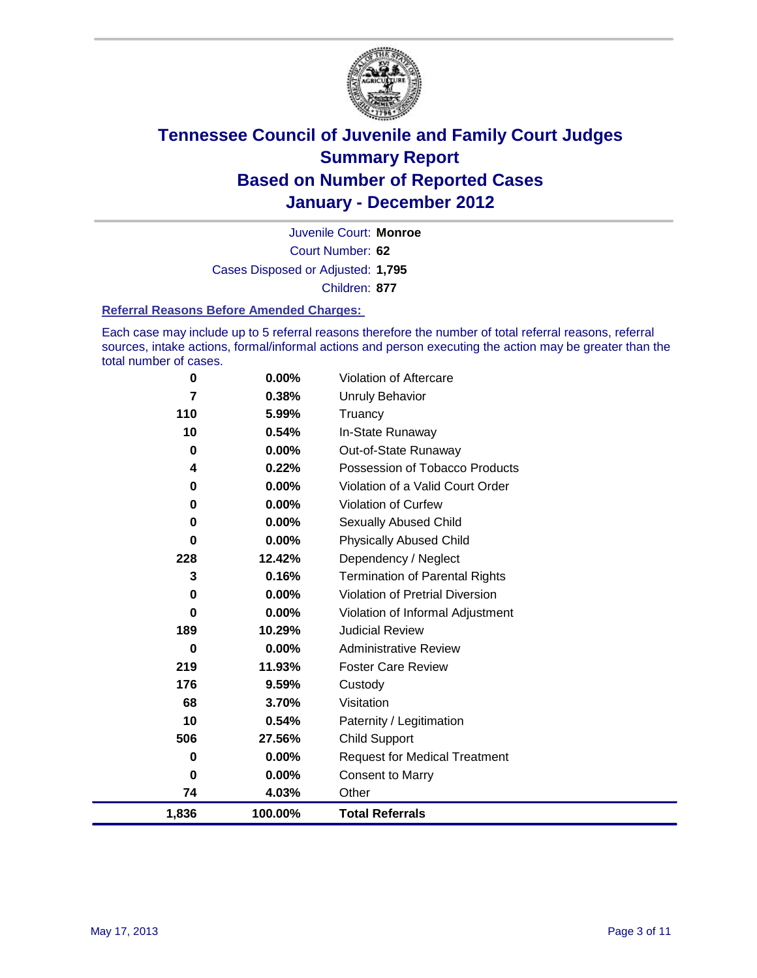

Court Number: **62** Juvenile Court: **Monroe** Cases Disposed or Adjusted: **1,795** Children: **877**

#### **Referral Reasons Before Amended Charges:**

Each case may include up to 5 referral reasons therefore the number of total referral reasons, referral sources, intake actions, formal/informal actions and person executing the action may be greater than the total number of cases.

| 0        | 0.00%   | Violation of Aftercare                 |
|----------|---------|----------------------------------------|
| 7        | 0.38%   | Unruly Behavior                        |
| 110      | 5.99%   | Truancy                                |
| 10       | 0.54%   | In-State Runaway                       |
| 0        | 0.00%   | Out-of-State Runaway                   |
| 4        | 0.22%   | Possession of Tobacco Products         |
| 0        | 0.00%   | Violation of a Valid Court Order       |
| 0        | 0.00%   | <b>Violation of Curfew</b>             |
| 0        | 0.00%   | Sexually Abused Child                  |
| 0        | 0.00%   | <b>Physically Abused Child</b>         |
| 228      | 12.42%  | Dependency / Neglect                   |
| 3        | 0.16%   | <b>Termination of Parental Rights</b>  |
| 0        | 0.00%   | <b>Violation of Pretrial Diversion</b> |
| $\bf{0}$ | 0.00%   | Violation of Informal Adjustment       |
| 189      | 10.29%  | <b>Judicial Review</b>                 |
| $\bf{0}$ | 0.00%   | <b>Administrative Review</b>           |
| 219      | 11.93%  | <b>Foster Care Review</b>              |
| 176      | 9.59%   | Custody                                |
| 68       | 3.70%   | Visitation                             |
| 10       | 0.54%   | Paternity / Legitimation               |
| 506      | 27.56%  | <b>Child Support</b>                   |
| 0        | 0.00%   | <b>Request for Medical Treatment</b>   |
| 0        | 0.00%   | <b>Consent to Marry</b>                |
| 74       | 4.03%   | Other                                  |
| 1,836    | 100.00% | <b>Total Referrals</b>                 |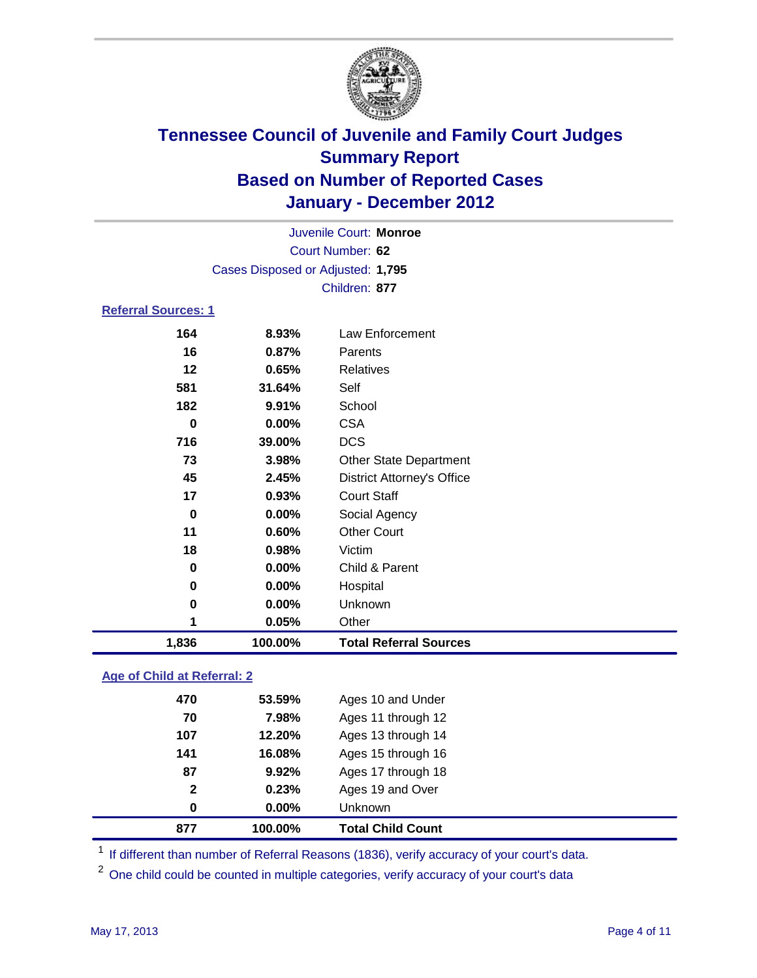

|                            |                                   | Juvenile Court: Monroe            |
|----------------------------|-----------------------------------|-----------------------------------|
|                            |                                   | Court Number: 62                  |
|                            | Cases Disposed or Adjusted: 1,795 |                                   |
|                            |                                   | Children: 877                     |
| <b>Referral Sources: 1</b> |                                   |                                   |
| 164                        | 8.93%                             | Law Enforcement                   |
| 16                         | 0.87%                             | Parents                           |
| 12                         | 0.65%                             | <b>Relatives</b>                  |
| 581                        | 31.64%                            | Self                              |
| 182                        | 9.91%                             | School                            |
| $\bf{0}$                   | 0.00%                             | <b>CSA</b>                        |
| 716                        | 39.00%                            | <b>DCS</b>                        |
| 73                         | 3.98%                             | Other State Department            |
| 45                         | 2.45%                             | <b>District Attorney's Office</b> |
| 17                         | 0.93%                             | <b>Court Staff</b>                |
| 0                          | 0.00%                             | Social Agency                     |
| 11                         | 0.60%                             | <b>Other Court</b>                |
| 18                         | 0.98%                             | Victim                            |
| 0                          | 0.00%                             | Child & Parent                    |
| $\bf{0}$                   | 0.00%                             | Hospital                          |
| 0                          | 0.00%                             | Unknown                           |
| 1                          | 0.05%                             | Other                             |
| 1,836                      | 100.00%                           | <b>Total Referral Sources</b>     |

### **Age of Child at Referral: 2**

| $\mathbf{2}$<br>0 | 0.23%<br>0.00% | Ages 19 and Over<br><b>Unknown</b> |
|-------------------|----------------|------------------------------------|
|                   |                |                                    |
|                   |                |                                    |
|                   | 9.92%          | Ages 17 through 18                 |
| 141               | 16.08%         | Ages 15 through 16                 |
| 107               | 12.20%         | Ages 13 through 14                 |
| 70                | 7.98%          | Ages 11 through 12                 |
| 470               | 53.59%         | Ages 10 and Under                  |
|                   | 87             |                                    |

<sup>1</sup> If different than number of Referral Reasons (1836), verify accuracy of your court's data.

<sup>2</sup> One child could be counted in multiple categories, verify accuracy of your court's data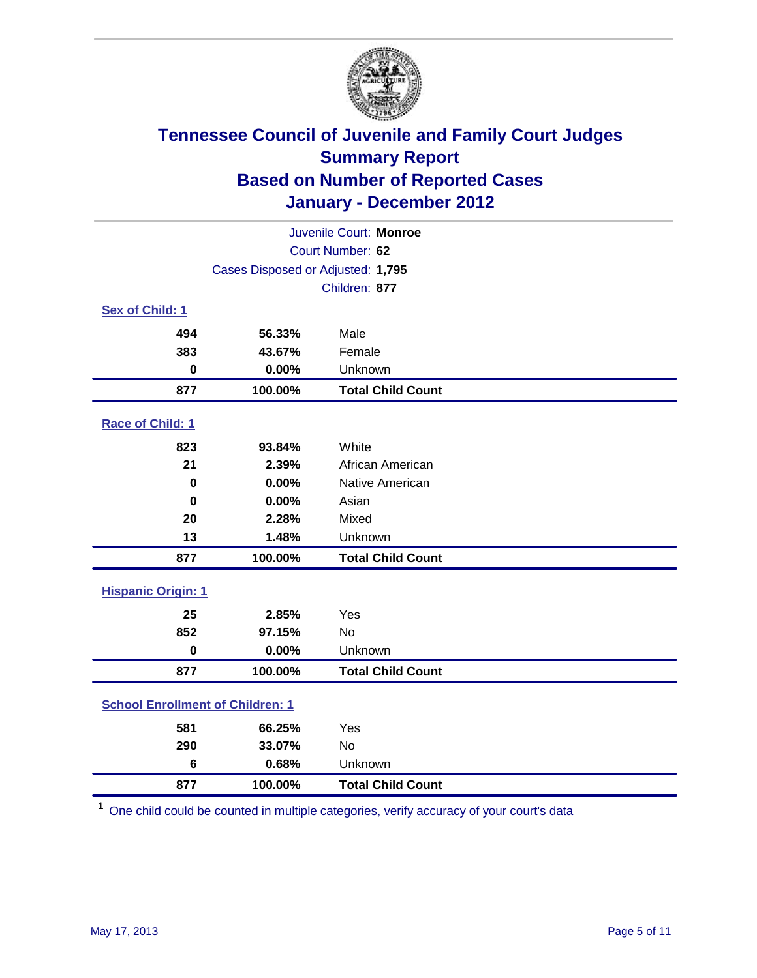

| Juvenile Court: Monroe                  |                                   |                          |  |  |
|-----------------------------------------|-----------------------------------|--------------------------|--|--|
| Court Number: 62                        |                                   |                          |  |  |
|                                         | Cases Disposed or Adjusted: 1,795 |                          |  |  |
|                                         |                                   | Children: 877            |  |  |
| Sex of Child: 1                         |                                   |                          |  |  |
| 494                                     | 56.33%                            | Male                     |  |  |
| 383                                     | 43.67%                            | Female                   |  |  |
| $\bf{0}$                                | 0.00%                             | Unknown                  |  |  |
| 877                                     | 100.00%                           | <b>Total Child Count</b> |  |  |
| Race of Child: 1                        |                                   |                          |  |  |
| 823                                     | 93.84%                            | White                    |  |  |
| 21                                      | 2.39%                             | African American         |  |  |
| $\bf{0}$                                | 0.00%                             | Native American          |  |  |
| $\mathbf 0$                             | 0.00%                             | Asian                    |  |  |
| 20                                      | 2.28%                             | Mixed                    |  |  |
| 13                                      | 1.48%                             | Unknown                  |  |  |
| 877                                     | 100.00%                           | <b>Total Child Count</b> |  |  |
| <b>Hispanic Origin: 1</b>               |                                   |                          |  |  |
| 25                                      | 2.85%                             | Yes                      |  |  |
| 852                                     | 97.15%                            | <b>No</b>                |  |  |
| $\mathbf 0$                             | 0.00%                             | Unknown                  |  |  |
| 877                                     | 100.00%                           | <b>Total Child Count</b> |  |  |
| <b>School Enrollment of Children: 1</b> |                                   |                          |  |  |
| 581                                     | 66.25%                            | Yes                      |  |  |
| 290                                     | 33.07%                            | No                       |  |  |
| 6                                       | 0.68%                             | Unknown                  |  |  |
| 877                                     | 100.00%                           | <b>Total Child Count</b> |  |  |

One child could be counted in multiple categories, verify accuracy of your court's data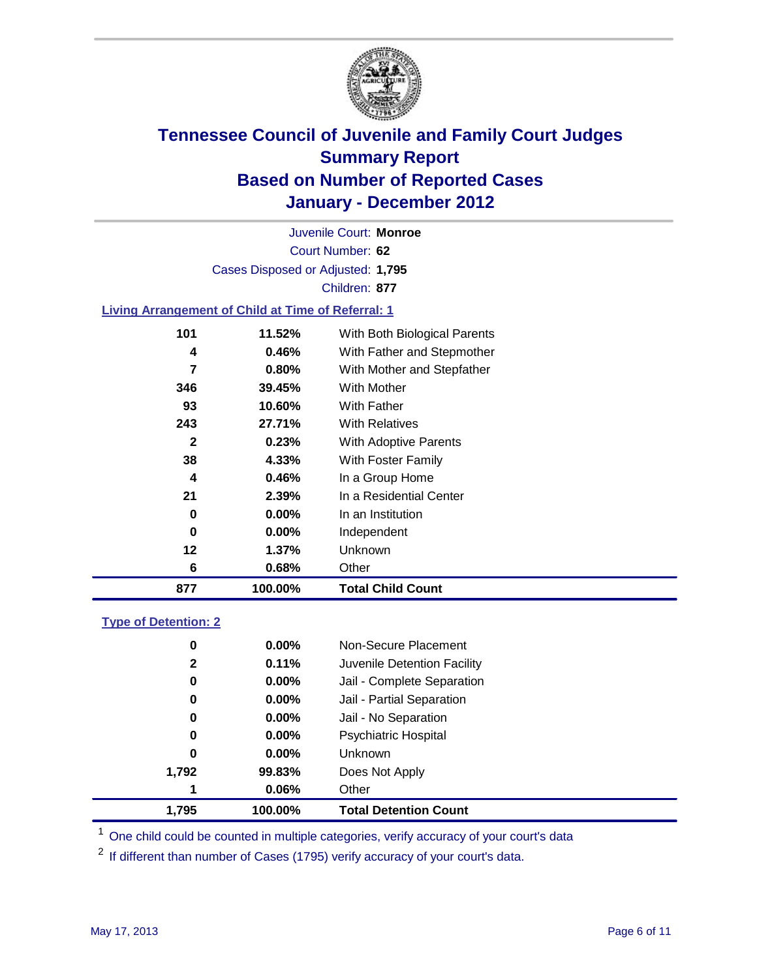

Court Number: **62** Juvenile Court: **Monroe** Cases Disposed or Adjusted: **1,795** Children: **877**

### **Living Arrangement of Child at Time of Referral: 1**

| 877 | 100.00%  | <b>Total Child Count</b>     |
|-----|----------|------------------------------|
| 6   | 0.68%    | Other                        |
| 12  | 1.37%    | <b>Unknown</b>               |
| 0   | $0.00\%$ | Independent                  |
| 0   | $0.00\%$ | In an Institution            |
| 21  | 2.39%    | In a Residential Center      |
| 4   | 0.46%    | In a Group Home              |
| 38  | 4.33%    | With Foster Family           |
| 2   | 0.23%    | With Adoptive Parents        |
| 243 | 27.71%   | <b>With Relatives</b>        |
| 93  | 10.60%   | With Father                  |
| 346 | 39.45%   | With Mother                  |
| 7   | 0.80%    | With Mother and Stepfather   |
| 4   | 0.46%    | With Father and Stepmother   |
| 101 | 11.52%   | With Both Biological Parents |
|     |          |                              |

### **Type of Detention: 2**

| 1,795        | 100.00%  | <b>Total Detention Count</b> |
|--------------|----------|------------------------------|
| 1            | 0.06%    | Other                        |
| 1,792        | 99.83%   | Does Not Apply               |
| 0            | $0.00\%$ | <b>Unknown</b>               |
| 0            | $0.00\%$ | <b>Psychiatric Hospital</b>  |
| 0            | 0.00%    | Jail - No Separation         |
| 0            | $0.00\%$ | Jail - Partial Separation    |
| 0            | $0.00\%$ | Jail - Complete Separation   |
| $\mathbf{2}$ | 0.11%    | Juvenile Detention Facility  |
| 0            | $0.00\%$ | Non-Secure Placement         |
|              |          |                              |

<sup>1</sup> One child could be counted in multiple categories, verify accuracy of your court's data

<sup>2</sup> If different than number of Cases (1795) verify accuracy of your court's data.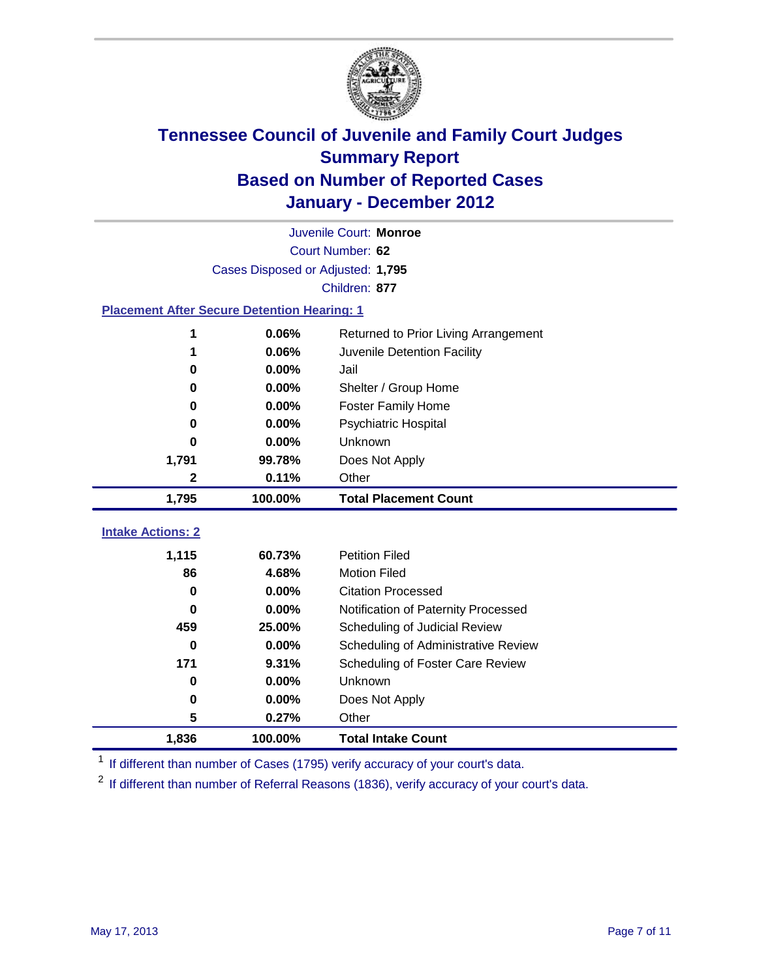

| Juvenile Court: Monroe   |                                                    |                                      |  |  |  |
|--------------------------|----------------------------------------------------|--------------------------------------|--|--|--|
|                          | Court Number: 62                                   |                                      |  |  |  |
|                          | Cases Disposed or Adjusted: 1,795                  |                                      |  |  |  |
|                          |                                                    | Children: 877                        |  |  |  |
|                          | <b>Placement After Secure Detention Hearing: 1</b> |                                      |  |  |  |
| 1                        | 0.06%                                              | Returned to Prior Living Arrangement |  |  |  |
| 1                        | 0.06%                                              | Juvenile Detention Facility          |  |  |  |
| 0                        | 0.00%                                              | Jail                                 |  |  |  |
| 0                        | 0.00%                                              | Shelter / Group Home                 |  |  |  |
| 0                        | 0.00%                                              | <b>Foster Family Home</b>            |  |  |  |
| 0                        | 0.00%                                              | Psychiatric Hospital                 |  |  |  |
| 0                        | 0.00%                                              | Unknown                              |  |  |  |
| 1,791                    | 99.78%                                             | Does Not Apply                       |  |  |  |
| 2                        | 0.11%                                              | Other                                |  |  |  |
| 1,795                    | 100.00%                                            | <b>Total Placement Count</b>         |  |  |  |
|                          |                                                    |                                      |  |  |  |
| <b>Intake Actions: 2</b> |                                                    |                                      |  |  |  |
| 1,115                    | 60.73%                                             | <b>Petition Filed</b>                |  |  |  |
| 86                       | 4.68%                                              | <b>Motion Filed</b>                  |  |  |  |
| $\bf{0}$                 | 0.00%                                              | <b>Citation Processed</b>            |  |  |  |
| <sup>0</sup>             | 0.00%                                              | Notification of Paternity Processed  |  |  |  |
| 459                      | 25.00%                                             | Scheduling of Judicial Review        |  |  |  |
| $\bf{0}$                 | 0.00%                                              | Scheduling of Administrative Review  |  |  |  |
| 171                      | 9.31%                                              | Scheduling of Foster Care Review     |  |  |  |
| 0                        | 0.00%                                              | Unknown                              |  |  |  |
| 0                        | 0.00%                                              | Does Not Apply                       |  |  |  |
| 5                        | 0.27%                                              | Other                                |  |  |  |
| 1,836                    | 100.00%                                            | <b>Total Intake Count</b>            |  |  |  |

<sup>1</sup> If different than number of Cases (1795) verify accuracy of your court's data.

<sup>2</sup> If different than number of Referral Reasons (1836), verify accuracy of your court's data.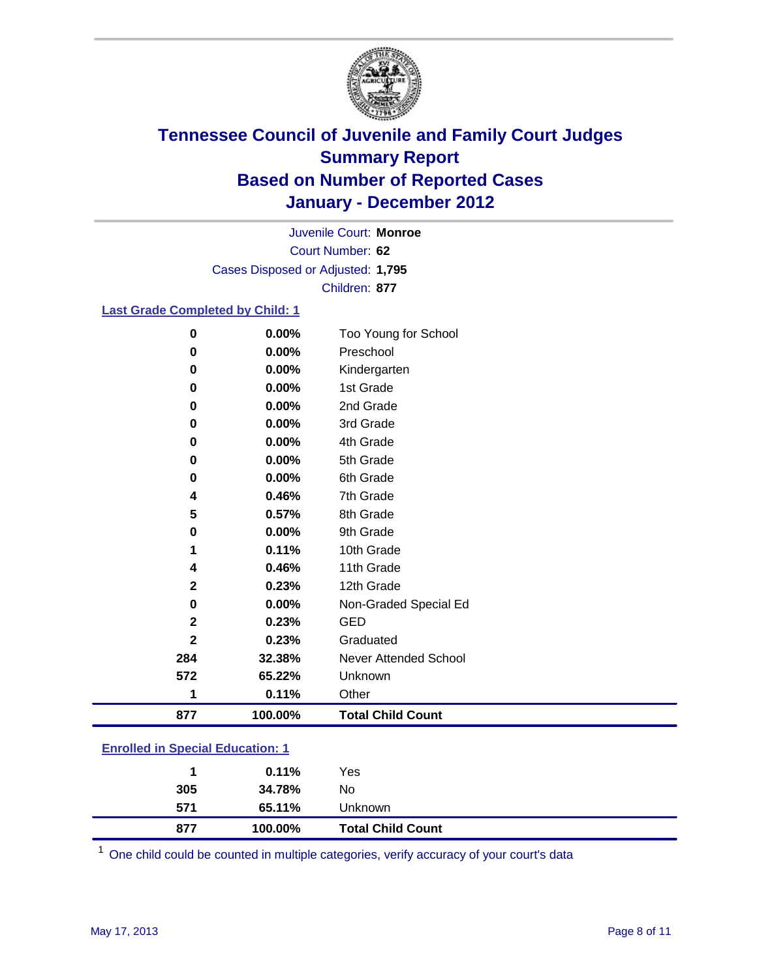

Court Number: **62** Juvenile Court: **Monroe** Cases Disposed or Adjusted: **1,795** Children: **877**

### **Last Grade Completed by Child: 1**

| $\bf{0}$                                | 0.00%   | Too Young for School         |  |
|-----------------------------------------|---------|------------------------------|--|
| 0                                       | 0.00%   | Preschool                    |  |
| $\bf{0}$                                | 0.00%   | Kindergarten                 |  |
| $\bf{0}$                                | 0.00%   | 1st Grade                    |  |
| 0                                       | 0.00%   | 2nd Grade                    |  |
| 0                                       | 0.00%   | 3rd Grade                    |  |
| 0                                       | 0.00%   | 4th Grade                    |  |
| 0                                       | 0.00%   | 5th Grade                    |  |
| 0                                       | 0.00%   | 6th Grade                    |  |
| 4                                       | 0.46%   | 7th Grade                    |  |
| 5                                       | 0.57%   | 8th Grade                    |  |
| $\bf{0}$                                | 0.00%   | 9th Grade                    |  |
| 1                                       | 0.11%   | 10th Grade                   |  |
| 4                                       | 0.46%   | 11th Grade                   |  |
| $\mathbf{2}$                            | 0.23%   | 12th Grade                   |  |
| $\bf{0}$                                | 0.00%   | Non-Graded Special Ed        |  |
| $\mathbf 2$                             | 0.23%   | <b>GED</b>                   |  |
| $\overline{\mathbf{2}}$                 | 0.23%   | Graduated                    |  |
| 284                                     | 32.38%  | <b>Never Attended School</b> |  |
| 572                                     | 65.22%  | Unknown                      |  |
| 1                                       | 0.11%   | Other                        |  |
| 877                                     | 100.00% | <b>Total Child Count</b>     |  |
| <b>Enrolled in Special Education: 1</b> |         |                              |  |

| 877 | 100.00%  | <b>Total Child Count</b> |  |
|-----|----------|--------------------------|--|
| 571 | 65.11%   | Unknown                  |  |
| 305 | 34.78%   | No.                      |  |
| 1   | $0.11\%$ | Yes                      |  |
|     |          |                          |  |

One child could be counted in multiple categories, verify accuracy of your court's data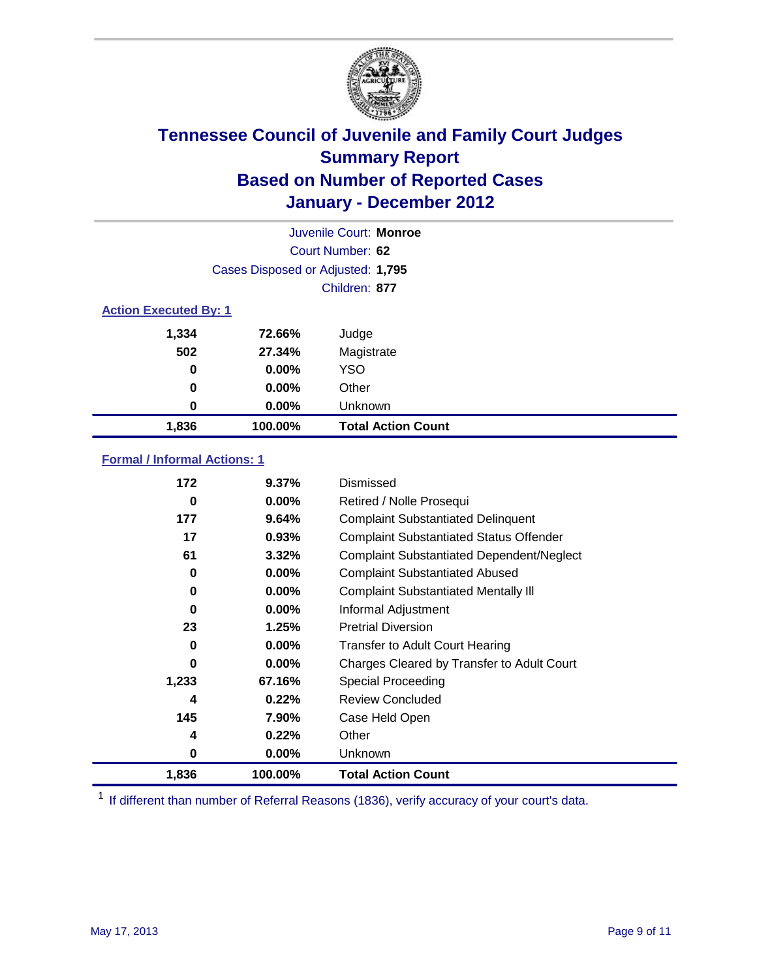

|                              | Juvenile Court: Monroe            |                           |  |
|------------------------------|-----------------------------------|---------------------------|--|
|                              | Court Number: 62                  |                           |  |
|                              | Cases Disposed or Adjusted: 1,795 |                           |  |
|                              |                                   | Children: 877             |  |
| <b>Action Executed By: 1</b> |                                   |                           |  |
| 1,334                        | 72.66%                            | Judge                     |  |
| 502                          | 27.34%                            | Magistrate                |  |
| 0                            | $0.00\%$                          | <b>YSO</b>                |  |
| 0                            | $0.00\%$                          | Other                     |  |
| 0                            | 0.00%                             | Unknown                   |  |
| 1,836                        | 100.00%                           | <b>Total Action Count</b> |  |

### **Formal / Informal Actions: 1**

| 172   | 9.37%    | Dismissed                                        |
|-------|----------|--------------------------------------------------|
| 0     | $0.00\%$ | Retired / Nolle Prosequi                         |
| 177   | 9.64%    | <b>Complaint Substantiated Delinquent</b>        |
| 17    | 0.93%    | <b>Complaint Substantiated Status Offender</b>   |
| 61    | 3.32%    | <b>Complaint Substantiated Dependent/Neglect</b> |
| 0     | 0.00%    | <b>Complaint Substantiated Abused</b>            |
| 0     | $0.00\%$ | <b>Complaint Substantiated Mentally III</b>      |
| 0     | $0.00\%$ | Informal Adjustment                              |
| 23    | 1.25%    | <b>Pretrial Diversion</b>                        |
| 0     | $0.00\%$ | <b>Transfer to Adult Court Hearing</b>           |
| 0     | $0.00\%$ | Charges Cleared by Transfer to Adult Court       |
| 1,233 | 67.16%   | Special Proceeding                               |
| 4     | 0.22%    | <b>Review Concluded</b>                          |
| 145   | 7.90%    | Case Held Open                                   |
| 4     | 0.22%    | Other                                            |
| 0     | 0.00%    | <b>Unknown</b>                                   |
| 1,836 | 100.00%  | <b>Total Action Count</b>                        |

<sup>1</sup> If different than number of Referral Reasons (1836), verify accuracy of your court's data.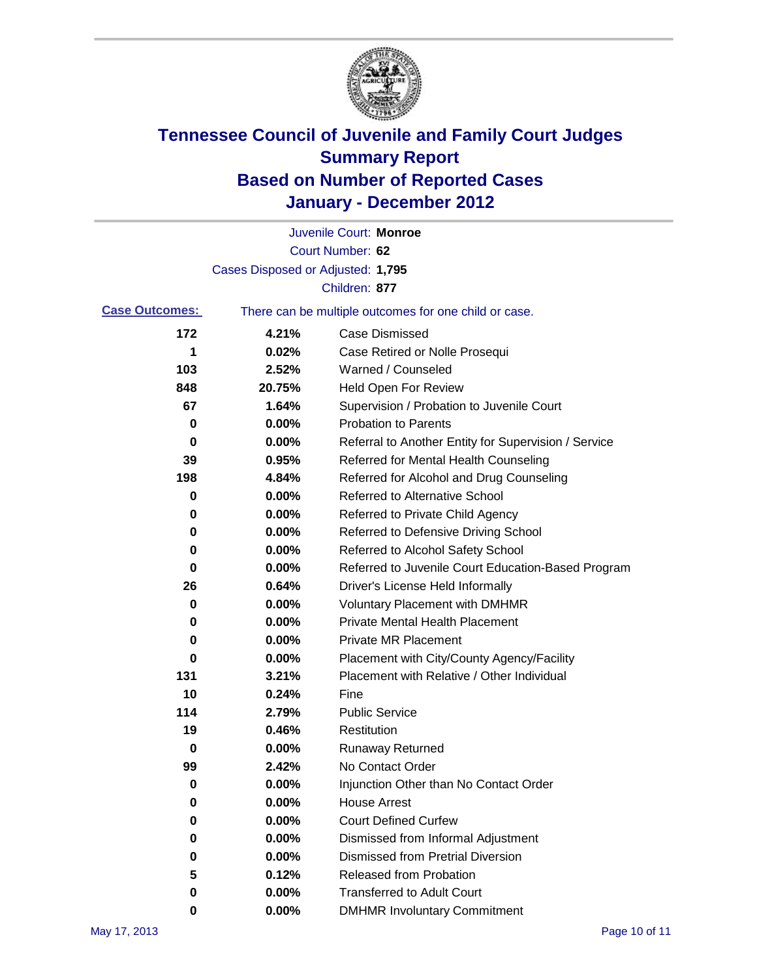

|                       |                                   | Juvenile Court: Monroe                                |
|-----------------------|-----------------------------------|-------------------------------------------------------|
|                       |                                   | Court Number: 62                                      |
|                       | Cases Disposed or Adjusted: 1,795 |                                                       |
|                       |                                   | Children: 877                                         |
| <b>Case Outcomes:</b> |                                   | There can be multiple outcomes for one child or case. |
| 172                   | 4.21%                             | <b>Case Dismissed</b>                                 |
| 1                     | 0.02%                             | Case Retired or Nolle Prosequi                        |
| 103                   | 2.52%                             | Warned / Counseled                                    |
| 848                   | 20.75%                            | <b>Held Open For Review</b>                           |
| 67                    | 1.64%                             | Supervision / Probation to Juvenile Court             |
| 0                     | 0.00%                             | <b>Probation to Parents</b>                           |
| 0                     | 0.00%                             | Referral to Another Entity for Supervision / Service  |
| 39                    | 0.95%                             | Referred for Mental Health Counseling                 |
| 198                   | 4.84%                             | Referred for Alcohol and Drug Counseling              |
| 0                     | 0.00%                             | Referred to Alternative School                        |
| 0                     | 0.00%                             | Referred to Private Child Agency                      |
| 0                     | 0.00%                             | Referred to Defensive Driving School                  |
| 0                     | 0.00%                             | Referred to Alcohol Safety School                     |
| 0                     | 0.00%                             | Referred to Juvenile Court Education-Based Program    |
| 26                    | 0.64%                             | Driver's License Held Informally                      |
| 0                     | 0.00%                             | <b>Voluntary Placement with DMHMR</b>                 |
| 0                     | 0.00%                             | <b>Private Mental Health Placement</b>                |
| 0                     | 0.00%                             | <b>Private MR Placement</b>                           |
| 0                     | 0.00%                             | Placement with City/County Agency/Facility            |
| 131                   | 3.21%                             | Placement with Relative / Other Individual            |
| 10                    | 0.24%                             | Fine                                                  |
| 114                   | 2.79%                             | <b>Public Service</b>                                 |
| 19                    | 0.46%                             | Restitution                                           |
| 0                     | 0.00%                             | <b>Runaway Returned</b>                               |
| 99                    | 2.42%                             | No Contact Order                                      |
| 0                     | 0.00%                             | Injunction Other than No Contact Order                |
| 0                     | 0.00%                             | <b>House Arrest</b>                                   |
| 0                     | 0.00%                             | <b>Court Defined Curfew</b>                           |
| 0                     | 0.00%                             | Dismissed from Informal Adjustment                    |
| 0                     | 0.00%                             | <b>Dismissed from Pretrial Diversion</b>              |
| 5                     | 0.12%                             | Released from Probation                               |
| 0                     | 0.00%                             | <b>Transferred to Adult Court</b>                     |
| 0                     | $0.00\%$                          | <b>DMHMR Involuntary Commitment</b>                   |